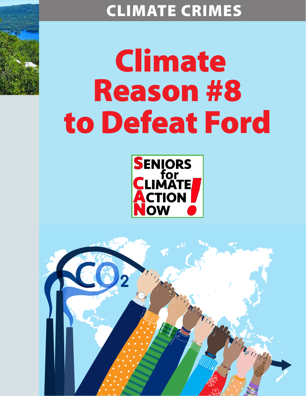## CLIMATE CRIMES

## Climate Reason #8 to Defeat Ford



Marian

Thompson